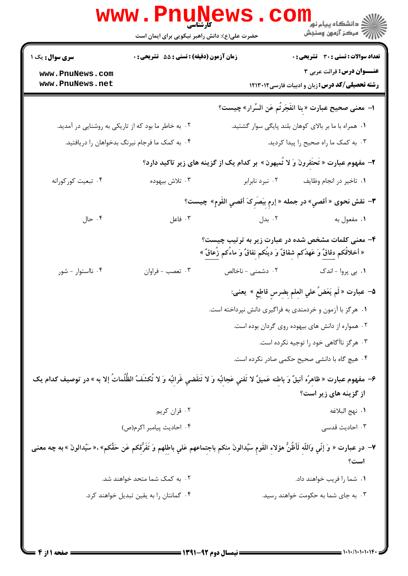|                                                                                                                                                     | <b>WWW.PN</b>                                    | کارشناسی<br>حضرت علی(ع): دانش راهبر نیکویی برای ایمان است                                                                                    | ڪ دانشڪاه پيام نور<br><mark>√</mark> مرڪز آزمون وسنڊش                               |  |
|-----------------------------------------------------------------------------------------------------------------------------------------------------|--------------------------------------------------|----------------------------------------------------------------------------------------------------------------------------------------------|-------------------------------------------------------------------------------------|--|
| <b>سری سوال :</b> یک ۱                                                                                                                              | زمان آزمون (دقیقه) : تستی : 55 آتشریحی : 0       |                                                                                                                                              | <b>تعداد سوالات : تستی : 30 - تشریحی : 0</b>                                        |  |
| www.PnuNews.com<br>www.PnuNews.net                                                                                                                  |                                                  |                                                                                                                                              | عنــوان درس: قرائت عربی ۳<br><b>رشته تحصیلی/کد درس:</b> زبان و ادبیات فارسی ۱۲۱۳۰۱۲ |  |
|                                                                                                                                                     |                                                  |                                                                                                                                              |                                                                                     |  |
|                                                                                                                                                     |                                                  |                                                                                                                                              | ا– معنى صحيح عبارت « بِنا انفَجَرتُم عَن السِّرار» چيست؟                            |  |
| ۲. به خاطر ما بود که از تاریکی به روشنایی در آمدید.                                                                                                 |                                                  |                                                                                                                                              | ۰۱ همراه با ما بر بالای کوهان بلند پایگی سوار گشتید.                                |  |
|                                                                                                                                                     | ۰۴ به کمک ما فرجام نیرنگ بدخواهان را دریافتید.   |                                                                                                                                              | ۰۳ به کمک ما راه صحیح را پیدا کردید.                                                |  |
|                                                                                                                                                     |                                                  | ۲- مفهوم عبارت « تَحتَفرونَ وَ لا تَميهون » بر کدام یک از گزینه های زیر تاکید دارد؟                                                          |                                                                                     |  |
| ۰۴ تبعیت کورکورانه                                                                                                                                  | ۰۳ تلاش بيهوده                                   |                                                                                                                                              | ۰۱ تاخیر در انجام وظایف مسمع ۲۰ نبرد نابرابر                                        |  |
| <b>٣</b> – نقش نحوى « أقصي» در جمله « إرمِ بِبَصَرِ کَ أقصي القَومِ» چيست؟                                                                          |                                                  |                                                                                                                                              |                                                                                     |  |
| ۰۴ حال                                                                                                                                              | ۰۳ فاعل                                          | ۰۱ مفعول به سال ۲۰ بدل در بازی به سال ۱۲ مفعول به سال ۱۲ میلی به سال ۱۲ میلادی به سال ۱۲ میلادی به س                                         |                                                                                     |  |
|                                                                                                                                                     |                                                  | ۴– معنی کلمات مشخص شده در عبارت زیر به ترتیب چیست؟<br>« أخلاقُکم <u>دقانٌ</u> وَ عَهدُکم شِقاقٌ وَ دینُکم نِفاقٌ وَ ماءُکم ز <u>ِّعاقٌ</u> » |                                                                                     |  |
| ۰۴ نااستوار - شور                                                                                                                                   | ۰۳ تعصب - فراوان                                 |                                                                                                                                              | ۰۱ بی پروا - اندک مسمنی - ناخالص ۰۲                                                 |  |
|                                                                                                                                                     |                                                  |                                                                                                                                              | ۵− عبارت « لَم يَعَضَّ علي العِلمِ بِضرِسٍ قاطِعِ » ِيعنى:                          |  |
|                                                                                                                                                     |                                                  | ۱. هرگز با آزمون و خردمندی به فراگیری دانش نپرداخته است.                                                                                     |                                                                                     |  |
|                                                                                                                                                     | ۰۲ همواره از دانش های بیهوده روی گردان بوده است. |                                                                                                                                              |                                                                                     |  |
|                                                                                                                                                     | ۰۳ هرگز ناآگاهی خود را توجیه نکرده است.          |                                                                                                                                              |                                                                                     |  |
|                                                                                                                                                     |                                                  |                                                                                                                                              | ۰۴ هیچ گاه با دانشی صحیح حکمی صادر نکرده است.                                       |  |
| ۶– مفهوم عبارت « ظاهِرُه أنيقٌ وَ باطِنه عَميقٌ لا تَفني عَجائبُه وَ لا تَنقَضي غَرائبُه وَ لا تُكشَفُ الظُّلُماتُ إلا به » در توصيف كدام يک        |                                                  |                                                                                                                                              | از گزینه های زیر است؟                                                               |  |
|                                                                                                                                                     | ۰۲ قران کريم                                     |                                                                                                                                              | ٠١. نهج البلاغه                                                                     |  |
|                                                                                                                                                     | ۰۴ احاديث پيامبر اكرم(ص)                         |                                                                                                                                              | ۰۳ احادیث قدسی                                                                      |  |
| V– در عبارت « وَ إنّي واللّهِ لَأظُنُّ هؤلاءِ القَومِ سَيُدالونَ مِنكم باجتِماعهم عَلي باطِلهم وَ تَفَرُّقكم عَن حَقِّكم»،« سَيُدالونَ » به چه معنى |                                                  |                                                                                                                                              | است؟                                                                                |  |
|                                                                                                                                                     | ۰۲ به کمک شما متحد خواهند شد.                    |                                                                                                                                              | ۰۱ شما را فریب خواهند داد.                                                          |  |
|                                                                                                                                                     | ۰۴ گمانتان را به یقین تبدیل خواهند کرد.          |                                                                                                                                              | ۰۳ به جای شما به حکومت خواهند رسید.                                                 |  |
|                                                                                                                                                     |                                                  |                                                                                                                                              |                                                                                     |  |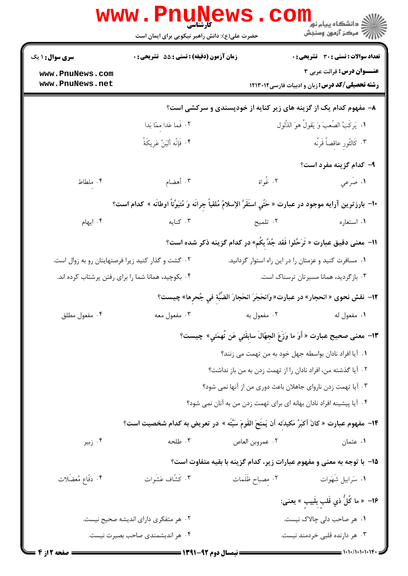| <b>سری سوال :</b> ۱ یک                             | زمان آزمون (دقیقه) : تستی : 55 آتشریحی : 0                                                                      |                                                       | <b>تعداد سوالات : تستی : 30 ٪ تشریحی : 0</b>                                       |
|----------------------------------------------------|-----------------------------------------------------------------------------------------------------------------|-------------------------------------------------------|------------------------------------------------------------------------------------|
| www.PnuNews.com                                    |                                                                                                                 |                                                       | عنــوان درس: قرائت عربی ۳                                                          |
| www.PnuNews.net                                    |                                                                                                                 |                                                       | <b>رشته تحصیلی/کد درس: زبان و ادبیات فارسی ۱۲۱۳۰۱۲</b>                             |
|                                                    |                                                                                                                 |                                                       | ۸– مفهوم کدام یک از گزینه های زیر کنایه از خودپسندی و سرکشی است؟                   |
|                                                    | ٢. فَما عَدا مِمّا بَدا                                                                                         |                                                       | ١. يَركَبُ الصَّعبَ وَ يَقولُ هوَ الذَّلول                                         |
|                                                    | ۴. فَإِنَّه أَليَنُ عَرِيكَةً                                                                                   |                                                       | ۰۳ كَالثَّورِ عاقصاً قَرنُه                                                        |
|                                                    |                                                                                                                 |                                                       | <b>۹- کدام گزینه مفرد است؟</b>                                                     |
| ۰۴ ملطاط                                           | ۰۳ أهضام                                                                                                        | ٢. غُواة                                              | ١. صَرعي                                                                           |
|                                                    | +ا- بارزترين آرايه موجود در عبارت « حَتّي استَقَرَّ الإسلامُ مُلقياً جِرانَه وَ مُتبَوِّئاً اوطانَه » كدام است؟ |                                                       |                                                                                    |
| ۰۴ ایهام                                           | ۰۳ کنایه                                                                                                        | ۲. تلمیح                                              | ۰۱ استعاره                                                                         |
|                                                    |                                                                                                                 |                                                       | 11–  معنی دقیق عبارت « تَرَحَّلوا فَقد جُدَّ بِكُم» در کدام گزینه ذکر شده است؟     |
| ۰۲ گشت و گذار کنید زیرا فرصتهایتان رو به زوال است. |                                                                                                                 | ۰۱ مسافرت کنید و عزمتان را در این راه استوار گردانید. |                                                                                    |
|                                                    | ۰۴ بکوچید، همانا شما را برای رفتن پرشتاب کرده اند.                                                              |                                                       | ۰۳ بازگردید، همانا مسیرتان ترسناک است.                                             |
|                                                    |                                                                                                                 |                                                       | ١٢-  نقش نحوى « انحجار» در عبارت« وَانحَجَرَ انحَجارَ الضَّبَّةِ في جُحرِها» چيست؟ |
| ۰۴ مفعول مطلق                                      |                                                                                                                 |                                                       |                                                                                    |
|                                                    |                                                                                                                 |                                                       | ١٣- معنى صحيح عبارت « أَوَ ما وَزَعَ الجهّالَ سابِقَتي عَن تُهمَتي» چيست؟          |
|                                                    |                                                                                                                 |                                                       | ۰۱ آیا افراد نادان بواسطه جهل خود به من تهمت می زنند؟                              |
|                                                    |                                                                                                                 |                                                       | ۰۲ آیا گذشته من، افراد نادان را از تهمت زدن به من باز نداشت؟                       |
|                                                    |                                                                                                                 |                                                       | ۰۳ آیا تهمت زدن ناروای جاهلان باعث دوری من از آنها نمی شود؟                        |
|                                                    |                                                                                                                 |                                                       | ۰۴ آیا پیشینه افراد نادان بهانه ای برای تهمت زدن من به آنان نمی شود؟               |
|                                                    | ۱۴− مفهوم عبارت « كانَ أكبَرُ مَكيدَته أنْ يَمنَحَ القَومَ سَبَّتَه » در تعريض به كدام شخصيت است؟               |                                                       |                                                                                    |
| ۰۴ زبیر                                            | ۰۳ طلحه                                                                                                         | ٠٢ عمروبن العاص                                       | ۰۱ عثمان                                                                           |
|                                                    |                                                                                                                 |                                                       | 1۵– با توجه به معنی و مفهوم عبارات زیر، کدام گزینه با بقیه متفاوت است؟             |
| ۴. دَفَّاعِ مُعضَلات                               | ۰۳ كَشّاف عَشَوات                                                                                               | ۰۲ مصباح ظَلَمات                                      | ۰۱ سَرابيل شَهَوات                                                                 |
|                                                    |                                                                                                                 |                                                       | 16–  « ما كُلُّ ذي قَلبِ بِلَبيبِ » يعنى:                                          |
|                                                    | ۰۲ هر متفکری دارای اندیشه صحیح نیست.                                                                            |                                                       | ۰۱ هر صاحب دلی چالاک نیست.                                                         |
|                                                    | ۰۴ هر اندیشمندی صاحب بصیرت نیست.                                                                                |                                                       | ۰۳ هر دارنده قلبی خردمند نیست.                                                     |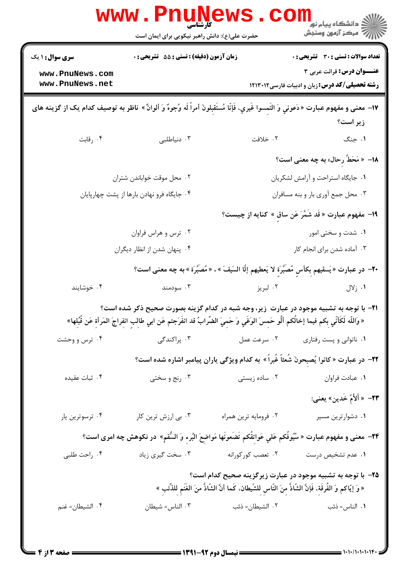|                                                                                                                                                                                                                                              | <b>WWW.PHUING</b><br>حضرت علی(ع): دانش راهبر نیکویی برای ایمان است                                  |               | ڪ دانشڪاه پيا <sub>م</sub> نور<br><mark>√</mark> مرڪز آزمون وسنڊش                                                                                                             |  |
|----------------------------------------------------------------------------------------------------------------------------------------------------------------------------------------------------------------------------------------------|-----------------------------------------------------------------------------------------------------|---------------|-------------------------------------------------------------------------------------------------------------------------------------------------------------------------------|--|
| <b>سری سوال : ۱ یک</b>                                                                                                                                                                                                                       | <b>زمان آزمون (دقیقه) : تستی : 55 تشریحی : 0</b>                                                    |               | <b>تعداد سوالات : تستی : 30 ٪ تشریحی : 0</b>                                                                                                                                  |  |
| www.PnuNews.com                                                                                                                                                                                                                              |                                                                                                     |               | <b>عنـــوان درس:</b> قرائت عربی ۳                                                                                                                                             |  |
| www.PnuNews.net                                                                                                                                                                                                                              |                                                                                                     |               | <b>رشته تحصیلی/کد درس: زبان و ادبیات فارسی ۱۲۱۳۰۱۲</b>                                                                                                                        |  |
| IY− معنى و مفهوم عبارت «دَعوني وَ التَمِسوا غَيري، فَإنّا مُستَقبِلونَ أمراً لَه وُجوهٌ وَ ألوانٌ » ناظر به توصيف كدام يک از گزينه هاى<br>زیر است؟                                                                                           |                                                                                                     |               |                                                                                                                                                                               |  |
| ۰۴ رقابت                                                                                                                                                                                                                                     | ۰۳ دنیاطلبی                                                                                         | ٢. خلافت      | ۰۱ جنگ                                                                                                                                                                        |  |
|                                                                                                                                                                                                                                              |                                                                                                     |               | ۱۸– « مَحَطٌّ رحال» به چه معنی است؟                                                                                                                                           |  |
|                                                                                                                                                                                                                                              | ۰۲ محل موقت خواباندن شتران                                                                          |               | ۰۱ جایگاه استراحت و آرامش لشکریان                                                                                                                                             |  |
|                                                                                                                                                                                                                                              | ۰۴ جایگاه فرو نهادن بارها از پشت چهارپایان                                                          |               | ۰۳ محل جمع آوري بار و بنه مسافران                                                                                                                                             |  |
|                                                                                                                                                                                                                                              |                                                                                                     |               | ١٩- مفهوم عبارت « قَد شَمَّرَ عَن ساقٍ » كنايه از چيست؟                                                                                                                       |  |
|                                                                                                                                                                                                                                              | ۰۲ ترس و هراس فراوان                                                                                |               | ٠١. شدت و سختی امور                                                                                                                                                           |  |
|                                                                                                                                                                                                                                              | ۰۴ پنهان شدن از انظار دیگران                                                                        |               | ۰۳ آماده شدن برای انجام کار                                                                                                                                                   |  |
|                                                                                                                                                                                                                                              | +٢- در عبارت «يَسقيهم بِكأسٍ مُصَبَّرَةٍ لا يَعطيهم إلَّا السَيفَ » ، « مُصبَّرَة » به چه معنى است؟ |               |                                                                                                                                                                               |  |
| ۰۴ خوشایند                                                                                                                                                                                                                                   | ۰۳ سودمند                                                                                           | ۰۲ لبريز      | ۰۱ زلال                                                                                                                                                                       |  |
| <b>۳۱</b> - با توجه به تشبیه موجود در عبارت ً زیر، وجه شبه در کدام گزینه بصورت صحیح ذکر شده است؟<br>« وَاللَّه لَكَأنِّي بِكم فيما إخالُكم ألُّو حَمِسَ الوَغَي وَ حَمِيَ الضُّرابُ قد انفَرَجتم عَن ابي طالب انفراجَ المَرأةِ عَن قُبُلِها» |                                                                                                     |               |                                                                                                                                                                               |  |
| ۰۴ ترس و وحشت                                                                                                                                                                                                                                |                                                                                                     |               | ۰۱ ناتوانی و پست رفتاری مسرعت عمل مسلم دراکندگی (۲۰۰ نفر میلادی) برای در ۱۳ نفر میلادی که مسلم در ۲۰                                                                          |  |
|                                                                                                                                                                                                                                              | ۲۲- در عبارت « کانوا یُصبِحونَ شَعثاً غَبراً » به کدام ویژگی یاران پیامبر اشاره شده است؟            |               |                                                                                                                                                                               |  |
| ۰۴ ثبات عقیده                                                                                                                                                                                                                                | ۰۳ رنج و سختی                                                                                       | ۰۲ ساده زیستی | ۰۱ عبادت فراوان                                                                                                                                                               |  |
|                                                                                                                                                                                                                                              |                                                                                                     |               | ٢٣–  « أَلأَمُ خَدين» يعنى:                                                                                                                                                   |  |
| ۰۴ ترسوترین یار                                                                                                                                                                                                                              | ۰۲ فرومایه ترین همراه مسمعه ۲۰ بی ارزش ترین کار                                                     |               | ۰۱ دشوارترین مسیر                                                                                                                                                             |  |
| ۲۴−  معنی و مفهوم عبارت « سُیُوفُکم عَلی عَواتِقُکم تَضَعونَها مَواضِعَ البُرءِ وَ السُّقمِ»  در نکوهش چه امری است؟                                                                                                                          |                                                                                                     |               |                                                                                                                                                                               |  |
| ۰۴ راحت طلبی                                                                                                                                                                                                                                 | ۰۱ عدم تشخیص درست مسلم ۲۰ تعصب کورکورانه مسخت گیری زیاد                                             |               |                                                                                                                                                                               |  |
|                                                                                                                                                                                                                                              |                                                                                                     |               | ∆٣− با توجه به تشبيه موجود در عبارت زيرگزينه صحيح كدام است؟<br>« وَ إيّاكم وَ الفُرقَةِ، فَإِنَّ الشّاذَّ مِنَ النّاسِ لِلسَّيطان، كَما أنَّ السَّاذَّ منَ الغَنَمِ لِلذِّئبِ |  |
| ۰۴ الشيطان= غنم                                                                                                                                                                                                                              | ۲ الشیطان= ذئب سلس سال ۱۰۳ الناس= شیطان ۲                                                           |               | <b>۱</b> . الناس=ذئب                                                                                                                                                          |  |
|                                                                                                                                                                                                                                              |                                                                                                     |               |                                                                                                                                                                               |  |

 $= 1.1 - (1.1 - 1.1)$